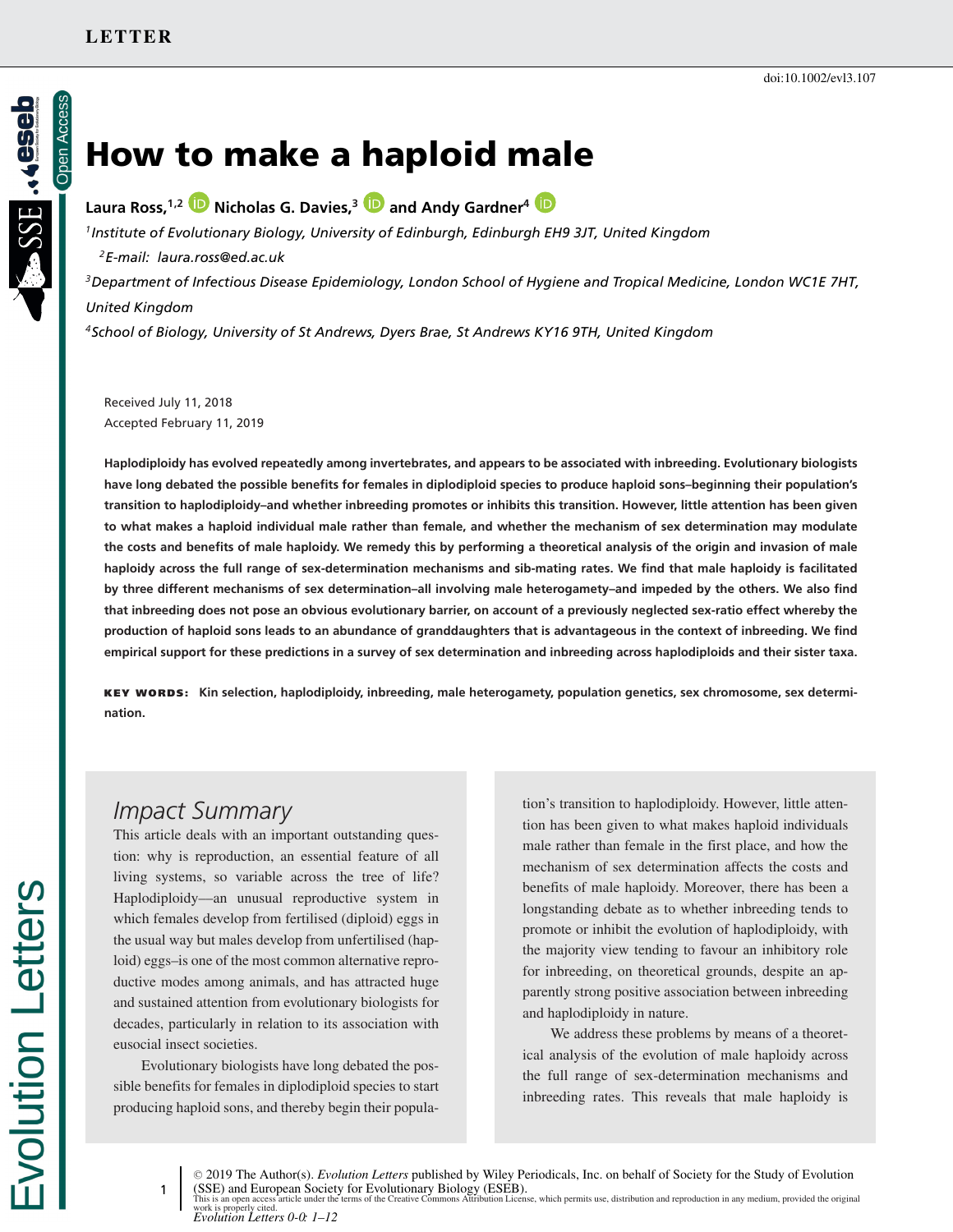# **How to make a haploid male**

# **Laura Ross,1,2 Nicholas G. Davies,3 and Andy Gardner<sup>4</sup>**

*1Institute of Evolutionary Biology, University of Edinburgh, Edinburgh EH9 3JT, United Kingdom 2E-mail: laura.ross@ed.ac.uk 3Department of Infectious Disease Epidemiology, London School of Hygiene and Tropical Medicine, London WC1E 7HT, United Kingdom 4School of Biology, University of St Andrews, Dyers Brae, St Andrews KY16 9TH, United Kingdom*

Received July 11, 2018 Accepted February 11, 2019

**Haplodiploidy has evolved repeatedly among invertebrates, and appears to be associated with inbreeding. Evolutionary biologists have long debated the possible benefits for females in diplodiploid species to produce haploid sons–beginning their population's transition to haplodiploidy–and whether inbreeding promotes or inhibits this transition. However, little attention has been given to what makes a haploid individual male rather than female, and whether the mechanism of sex determination may modulate the costs and benefits of male haploidy. We remedy this by performing a theoretical analysis of the origin and invasion of male haploidy across the full range of sex-determination mechanisms and sib-mating rates. We find that male haploidy is facilitated by three different mechanisms of sex determination–all involving male heterogamety–and impeded by the others. We also find that inbreeding does not pose an obvious evolutionary barrier, on account of a previously neglected sex-ratio effect whereby the production of haploid sons leads to an abundance of granddaughters that is advantageous in the context of inbreeding. We find empirical support for these predictions in a survey of sex determination and inbreeding across haplodiploids and their sister taxa.**

**KEY WORDS: Kin selection, haplodiploidy, inbreeding, male heterogamety, population genetics, sex chromosome, sex determination.**

# *Impact Summary*

This article deals with an important outstanding question: why is reproduction, an essential feature of all living systems, so variable across the tree of life? Haplodiploidy––an unusual reproductive system in which females develop from fertilised (diploid) eggs in the usual way but males develop from unfertilised (haploid) eggs–is one of the most common alternative reproductive modes among animals, and has attracted huge and sustained attention from evolutionary biologists for decades, particularly in relation to its association with eusocial insect societies.

Evolutionary biologists have long debated the possible benefits for females in diplodiploid species to start producing haploid sons, and thereby begin their population's transition to haplodiploidy. However, little attention has been given to what makes haploid individuals male rather than female in the first place, and how the mechanism of sex determination affects the costs and benefits of male haploidy. Moreover, there has been a longstanding debate as to whether inbreeding tends to promote or inhibit the evolution of haplodiploidy, with the majority view tending to favour an inhibitory role for inbreeding, on theoretical grounds, despite an apparently strong positive association between inbreeding and haplodiploidy in nature.

We address these problems by means of a theoretical analysis of the evolution of male haploidy across the full range of sex-determination mechanisms and inbreeding rates. This reveals that male haploidy is

volution Letters

<sup>-</sup><sup>C</sup> 2019 The Author(s). *Evolution Letters* published by Wiley Periodicals, Inc. on behalf of Society for the Study of Evolution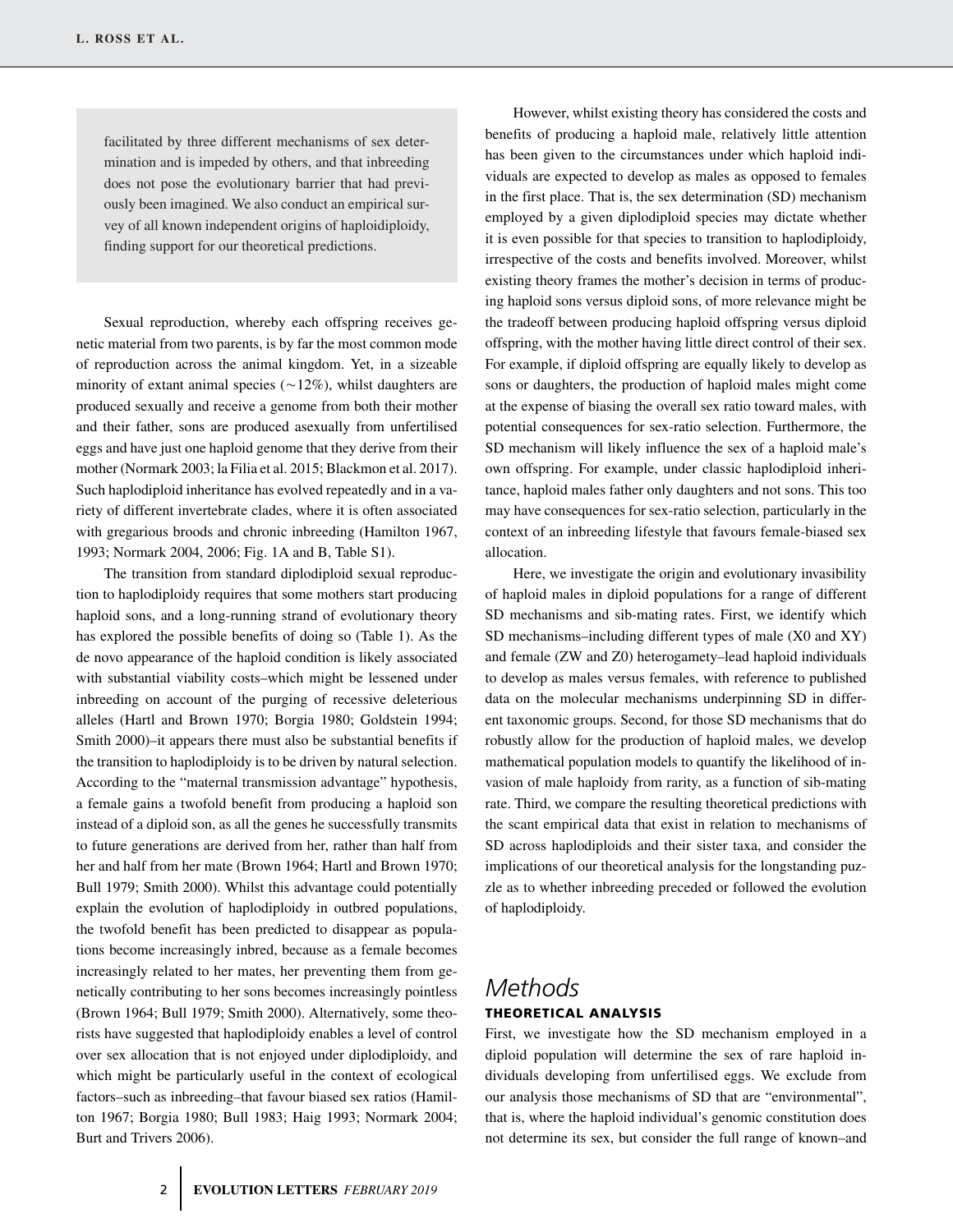facilitated by three different mechanisms of sex determination and is impeded by others, and that inbreeding does not pose the evolutionary barrier that had previously been imagined. We also conduct an empirical survey of all known independent origins of haploidiploidy, finding support for our theoretical predictions.

Sexual reproduction, whereby each offspring receives genetic material from two parents, is by far the most common mode of reproduction across the animal kingdom. Yet, in a sizeable minority of extant animal species  $(\sim 12\%)$ , whilst daughters are produced sexually and receive a genome from both their mother and their father, sons are produced asexually from unfertilised eggs and have just one haploid genome that they derive from their mother (Normark 2003; la Filia et al. 2015; Blackmon et al. 2017). Such haplodiploid inheritance has evolved repeatedly and in a variety of different invertebrate clades, where it is often associated with gregarious broods and chronic inbreeding (Hamilton 1967, 1993; Normark 2004, 2006; Fig. 1A and B, Table S1).

The transition from standard diplodiploid sexual reproduction to haplodiploidy requires that some mothers start producing haploid sons, and a long-running strand of evolutionary theory has explored the possible benefits of doing so (Table 1). As the de novo appearance of the haploid condition is likely associated with substantial viability costs–which might be lessened under inbreeding on account of the purging of recessive deleterious alleles (Hartl and Brown 1970; Borgia 1980; Goldstein 1994; Smith 2000)–it appears there must also be substantial benefits if the transition to haplodiploidy is to be driven by natural selection. According to the "maternal transmission advantage" hypothesis, a female gains a twofold benefit from producing a haploid son instead of a diploid son, as all the genes he successfully transmits to future generations are derived from her, rather than half from her and half from her mate (Brown 1964; Hartl and Brown 1970; Bull 1979; Smith 2000). Whilst this advantage could potentially explain the evolution of haplodiploidy in outbred populations, the twofold benefit has been predicted to disappear as populations become increasingly inbred, because as a female becomes increasingly related to her mates, her preventing them from genetically contributing to her sons becomes increasingly pointless (Brown 1964; Bull 1979; Smith 2000). Alternatively, some theorists have suggested that haplodiploidy enables a level of control over sex allocation that is not enjoyed under diplodiploidy, and which might be particularly useful in the context of ecological factors–such as inbreeding–that favour biased sex ratios (Hamilton 1967; Borgia 1980; Bull 1983; Haig 1993; Normark 2004; Burt and Trivers 2006).

2 **EVOLUTION LETTERS** *FEBRUARY 2019*

However, whilst existing theory has considered the costs and benefits of producing a haploid male, relatively little attention has been given to the circumstances under which haploid individuals are expected to develop as males as opposed to females in the first place. That is, the sex determination (SD) mechanism employed by a given diplodiploid species may dictate whether it is even possible for that species to transition to haplodiploidy, irrespective of the costs and benefits involved. Moreover, whilst existing theory frames the mother's decision in terms of producing haploid sons versus diploid sons, of more relevance might be the tradeoff between producing haploid offspring versus diploid offspring, with the mother having little direct control of their sex. For example, if diploid offspring are equally likely to develop as sons or daughters, the production of haploid males might come at the expense of biasing the overall sex ratio toward males, with potential consequences for sex-ratio selection. Furthermore, the SD mechanism will likely influence the sex of a haploid male's own offspring. For example, under classic haplodiploid inheritance, haploid males father only daughters and not sons. This too may have consequences for sex-ratio selection, particularly in the context of an inbreeding lifestyle that favours female-biased sex allocation.

Here, we investigate the origin and evolutionary invasibility of haploid males in diploid populations for a range of different SD mechanisms and sib-mating rates. First, we identify which SD mechanisms–including different types of male (X0 and XY) and female (ZW and Z0) heterogamety–lead haploid individuals to develop as males versus females, with reference to published data on the molecular mechanisms underpinning SD in different taxonomic groups. Second, for those SD mechanisms that do robustly allow for the production of haploid males, we develop mathematical population models to quantify the likelihood of invasion of male haploidy from rarity, as a function of sib-mating rate. Third, we compare the resulting theoretical predictions with the scant empirical data that exist in relation to mechanisms of SD across haplodiploids and their sister taxa, and consider the implications of our theoretical analysis for the longstanding puzzle as to whether inbreeding preceded or followed the evolution of haplodiploidy.

# *Methods* **THEORETICAL ANALYSIS**

First, we investigate how the SD mechanism employed in a diploid population will determine the sex of rare haploid individuals developing from unfertilised eggs. We exclude from our analysis those mechanisms of SD that are "environmental", that is, where the haploid individual's genomic constitution does not determine its sex, but consider the full range of known–and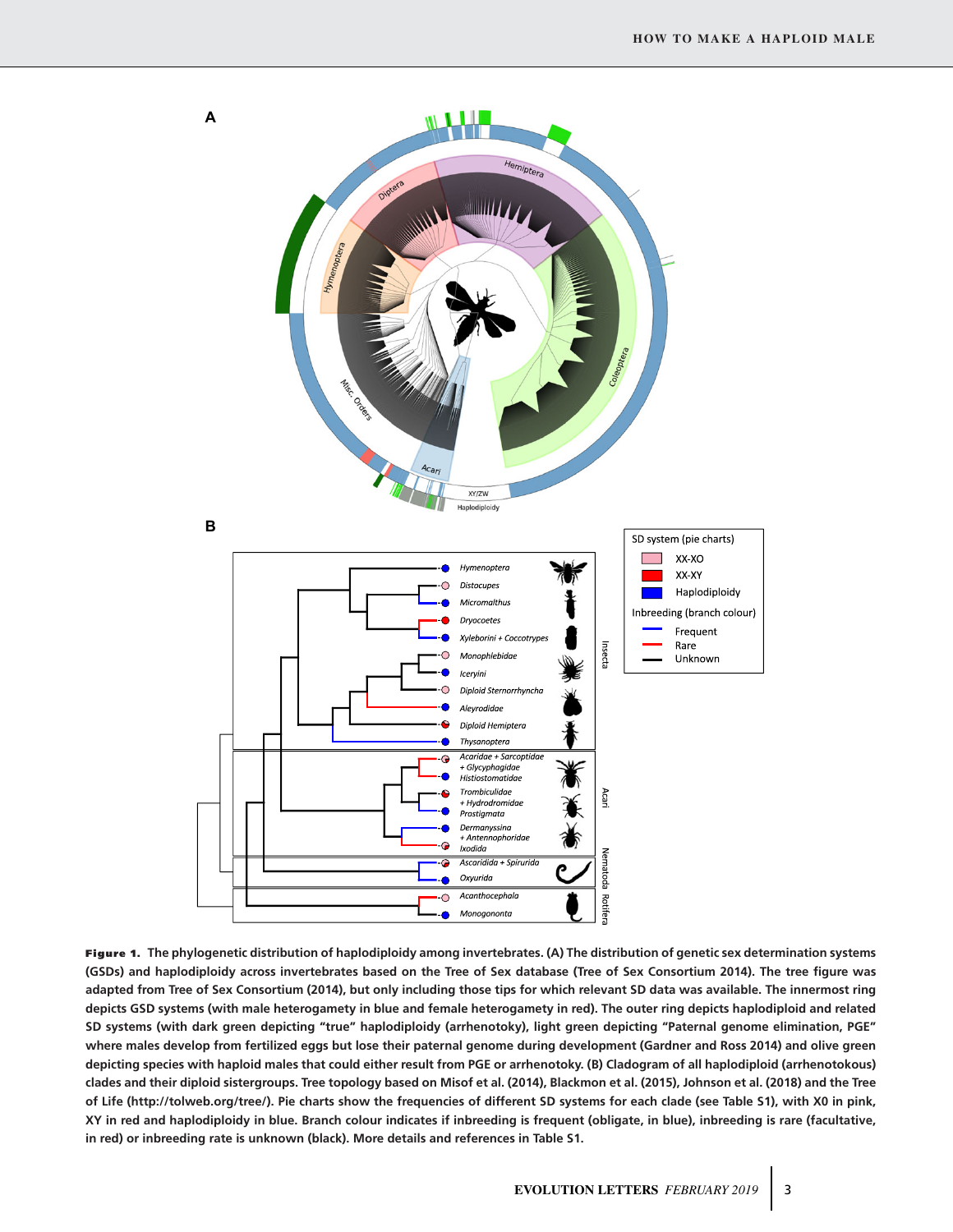

**Figure 1. The phylogenetic distribution of haplodiploidy among invertebrates. (A) The distribution of genetic sex determination systems (GSDs) and haplodiploidy across invertebrates based on the Tree of Sex database (Tree of Sex Consortium 2014). The tree figure was adapted from Tree of Sex Consortium (2014), but only including those tips for which relevant SD data was available. The innermost ring depicts GSD systems (with male heterogamety in blue and female heterogamety in red). The outer ring depicts haplodiploid and related SD systems (with dark green depicting "true" haplodiploidy (arrhenotoky), light green depicting "Paternal genome elimination, PGE" where males develop from fertilized eggs but lose their paternal genome during development (Gardner and Ross 2014) and olive green depicting species with haploid males that could either result from PGE or arrhenotoky. (B) Cladogram of all haplodiploid (arrhenotokous) clades and their diploid sistergroups. Tree topology based on Misof et al. (2014), Blackmon et al. (2015), Johnson et al. (2018) and the Tree of Life [\(http://tolweb.org/tree/\)](http://tolweb.org/tree/). Pie charts show the frequencies of different SD systems for each clade (see Table S1), with X0 in pink, XY in red and haplodiploidy in blue. Branch colour indicates if inbreeding is frequent (obligate, in blue), inbreeding is rare (facultative, in red) or inbreeding rate is unknown (black). More details and references in Table S1.**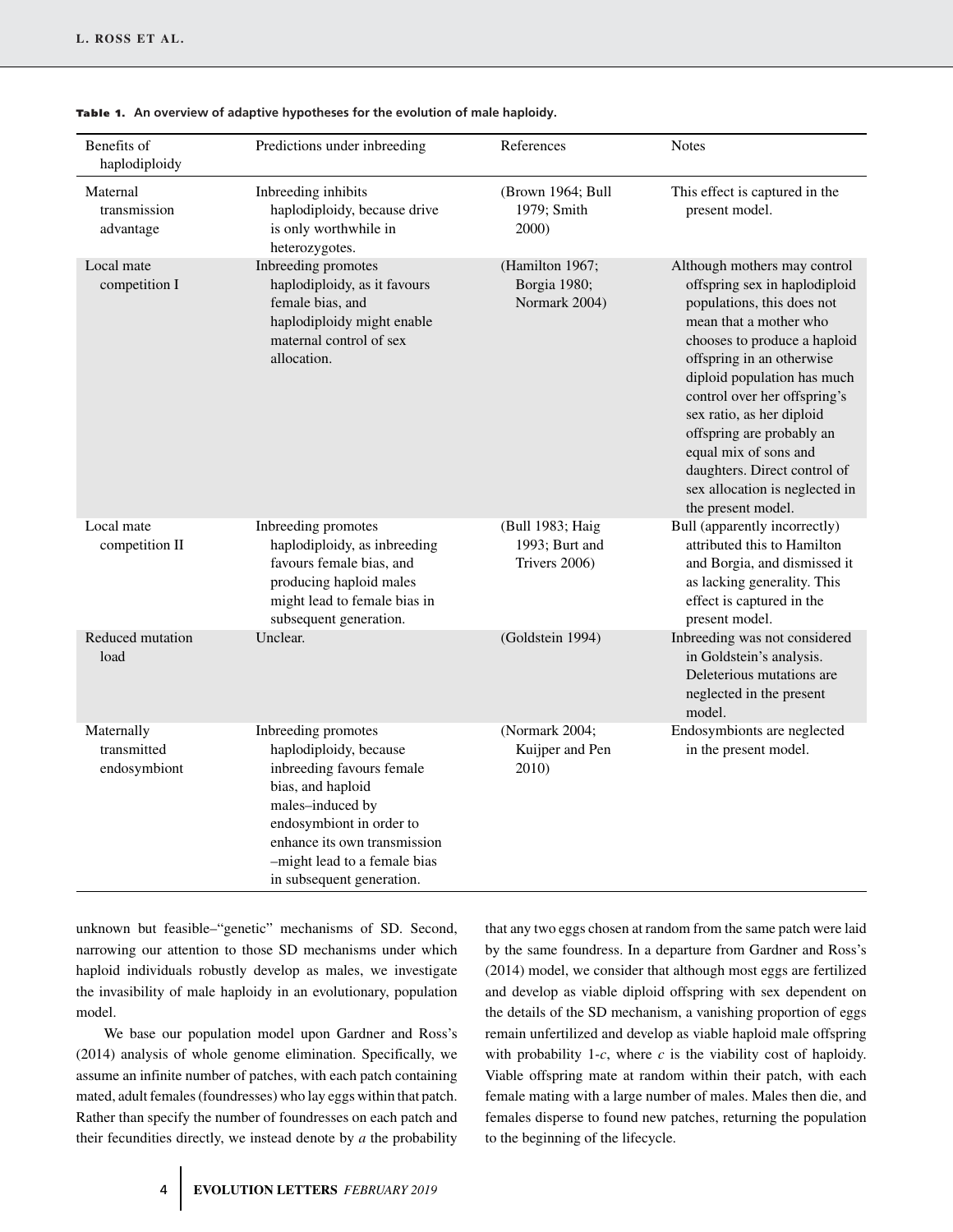| Benefits of<br>haplodiploidy              | Predictions under inbreeding                                                                                                                                                                                                                 | References                                          | <b>Notes</b>                                                                                                                                                                                                                                                                                                                                                                                                                 |
|-------------------------------------------|----------------------------------------------------------------------------------------------------------------------------------------------------------------------------------------------------------------------------------------------|-----------------------------------------------------|------------------------------------------------------------------------------------------------------------------------------------------------------------------------------------------------------------------------------------------------------------------------------------------------------------------------------------------------------------------------------------------------------------------------------|
| Maternal<br>transmission<br>advantage     | Inbreeding inhibits<br>haplodiploidy, because drive<br>is only worthwhile in<br>heterozygotes.                                                                                                                                               | (Brown 1964; Bull<br>1979; Smith<br>2000)           | This effect is captured in the<br>present model.                                                                                                                                                                                                                                                                                                                                                                             |
| Local mate<br>competition I               | Inbreeding promotes<br>haplodiploidy, as it favours<br>female bias, and<br>haplodiploidy might enable<br>maternal control of sex<br>allocation.                                                                                              | (Hamilton 1967;<br>Borgia 1980;<br>Normark 2004)    | Although mothers may control<br>offspring sex in haplodiploid<br>populations, this does not<br>mean that a mother who<br>chooses to produce a haploid<br>offspring in an otherwise<br>diploid population has much<br>control over her offspring's<br>sex ratio, as her diploid<br>offspring are probably an<br>equal mix of sons and<br>daughters. Direct control of<br>sex allocation is neglected in<br>the present model. |
| Local mate<br>competition II              | Inbreeding promotes<br>haplodiploidy, as inbreeding<br>favours female bias, and<br>producing haploid males<br>might lead to female bias in<br>subsequent generation.                                                                         | (Bull 1983; Haig<br>1993; Burt and<br>Trivers 2006) | Bull (apparently incorrectly)<br>attributed this to Hamilton<br>and Borgia, and dismissed it<br>as lacking generality. This<br>effect is captured in the<br>present model.                                                                                                                                                                                                                                                   |
| Reduced mutation<br>load                  | Unclear.                                                                                                                                                                                                                                     | (Goldstein 1994)                                    | Inbreeding was not considered<br>in Goldstein's analysis.<br>Deleterious mutations are<br>neglected in the present<br>model.                                                                                                                                                                                                                                                                                                 |
| Maternally<br>transmitted<br>endosymbiont | Inbreeding promotes<br>haplodiploidy, because<br>inbreeding favours female<br>bias, and haploid<br>males-induced by<br>endosymbiont in order to<br>enhance its own transmission<br>-might lead to a female bias<br>in subsequent generation. | (Normark 2004;<br>Kuijper and Pen<br>2010)          | Endosymbionts are neglected<br>in the present model.                                                                                                                                                                                                                                                                                                                                                                         |

|  | Table 1. An overview of adaptive hypotheses for the evolution of male haploidy. |  |  |  |  |  |  |
|--|---------------------------------------------------------------------------------|--|--|--|--|--|--|
|--|---------------------------------------------------------------------------------|--|--|--|--|--|--|

unknown but feasible–"genetic" mechanisms of SD. Second, narrowing our attention to those SD mechanisms under which haploid individuals robustly develop as males, we investigate the invasibility of male haploidy in an evolutionary, population model.

We base our population model upon Gardner and Ross's (2014) analysis of whole genome elimination. Specifically, we assume an infinite number of patches, with each patch containing mated, adult females (foundresses) who lay eggs within that patch. Rather than specify the number of foundresses on each patch and their fecundities directly, we instead denote by *a* the probability

that any two eggs chosen at random from the same patch were laid by the same foundress. In a departure from Gardner and Ross's (2014) model, we consider that although most eggs are fertilized and develop as viable diploid offspring with sex dependent on the details of the SD mechanism, a vanishing proportion of eggs remain unfertilized and develop as viable haploid male offspring with probability 1- $c$ , where  $c$  is the viability cost of haploidy. Viable offspring mate at random within their patch, with each female mating with a large number of males. Males then die, and females disperse to found new patches, returning the population to the beginning of the lifecycle.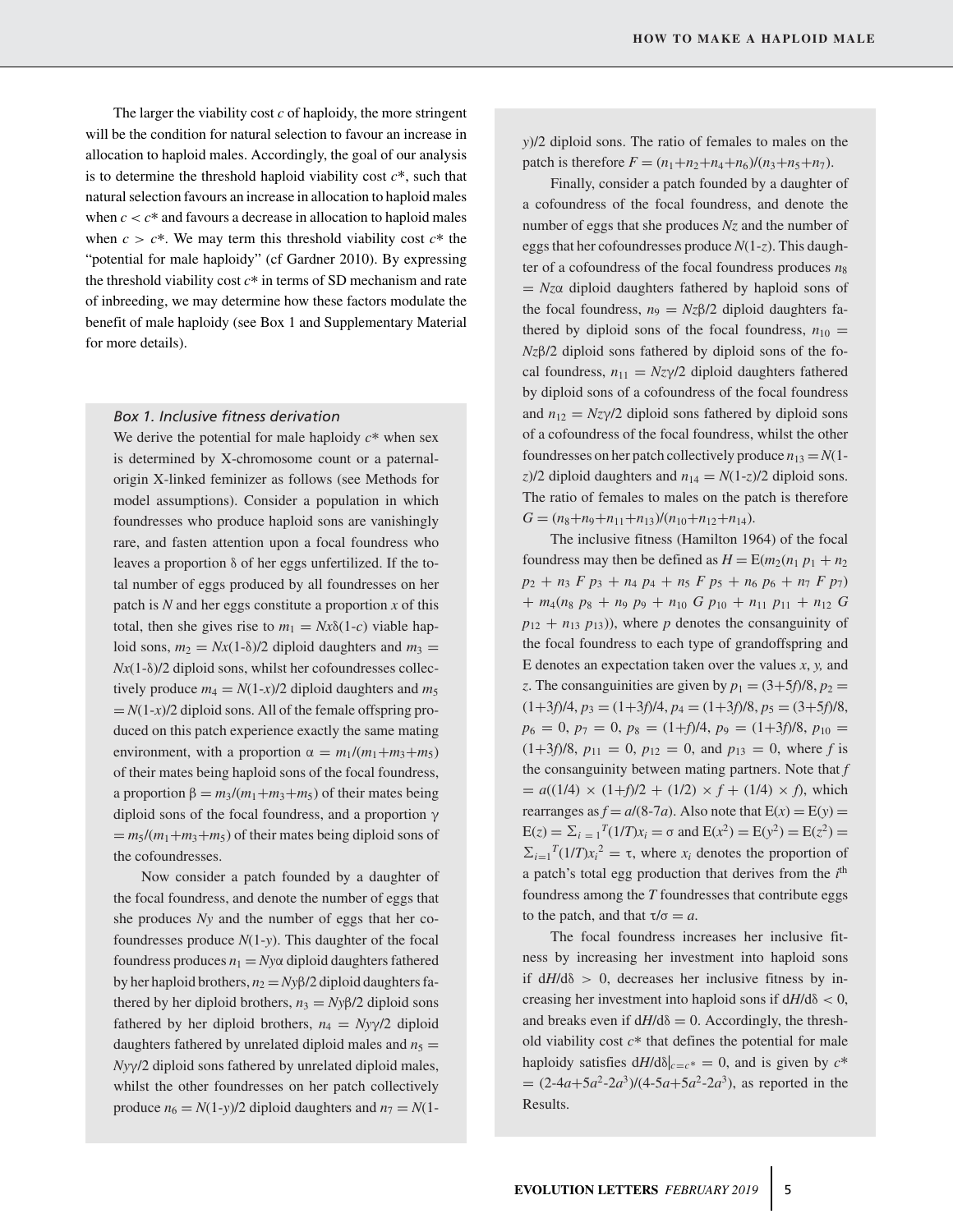The larger the viability cost *c* of haploidy, the more stringent will be the condition for natural selection to favour an increase in allocation to haploid males. Accordingly, the goal of our analysis is to determine the threshold haploid viability cost *c*∗, such that natural selection favours an increase in allocation to haploid males when  $c < c^*$  and favours a decrease in allocation to haploid males when  $c > c^*$ . We may term this threshold viability cost  $c^*$  the "potential for male haploidy" (cf Gardner 2010). By expressing the threshold viability cost *c*∗ in terms of SD mechanism and rate of inbreeding, we may determine how these factors modulate the benefit of male haploidy (see Box 1 and Supplementary Material for more details).

## *Box 1. Inclusive fitness derivation*

We derive the potential for male haploidy *c*∗ when sex is determined by X-chromosome count or a paternalorigin X-linked feminizer as follows (see Methods for model assumptions). Consider a population in which foundresses who produce haploid sons are vanishingly rare, and fasten attention upon a focal foundress who leaves a proportion δ of her eggs unfertilized. If the total number of eggs produced by all foundresses on her patch is *N* and her eggs constitute a proportion *x* of this total, then she gives rise to  $m_1 = Nx\delta(1-c)$  viable haploid sons,  $m_2 = Nx(1-\delta)/2$  diploid daughters and  $m_3 =$ *Nx*(1-δ)/2 diploid sons, whilst her cofoundresses collectively produce  $m_4 = N(1-x)/2$  diploid daughters and  $m_5$  $= N(1-x)/2$  diploid sons. All of the female offspring produced on this patch experience exactly the same mating environment, with a proportion  $\alpha = m_1/(m_1 + m_3 + m_5)$ of their mates being haploid sons of the focal foundress, a proportion  $\beta = m_3/(m_1 + m_3 + m_5)$  of their mates being diploid sons of the focal foundress, and a proportion  $\gamma$  $=$   $m_5/(m_1+m_3+m_5)$  of their mates being diploid sons of the cofoundresses.

Now consider a patch founded by a daughter of the focal foundress, and denote the number of eggs that she produces *Ny* and the number of eggs that her cofoundresses produce *N*(1-*y*). This daughter of the focal foundress produces  $n_1 = N$ *y* $\alpha$  diploid daughters fathered by her haploid brothers, *n*<sup>2</sup> =*Ny*β/2 diploid daughters fathered by her diploid brothers,  $n_3 = Ny\beta/2$  diploid sons fathered by her diploid brothers,  $n_4 = Ny\gamma/2$  diploid daughters fathered by unrelated diploid males and  $n_5$  = *Ny*γ/2 diploid sons fathered by unrelated diploid males, whilst the other foundresses on her patch collectively produce  $n_6 = N(1-y)/2$  diploid daughters and  $n_7 = N(1-y)/2$ 

*y*)/2 diploid sons. The ratio of females to males on the patch is therefore  $F = (n_1+n_2+n_4+n_6)/(n_3+n_5+n_7)$ .

Finally, consider a patch founded by a daughter of a cofoundress of the focal foundress, and denote the number of eggs that she produces *Nz* and the number of eggs that her cofoundresses produce *N*(1-*z*). This daughter of a cofoundress of the focal foundress produces  $n_8$ = *Nz*α diploid daughters fathered by haploid sons of the focal foundress,  $n_9 = Nz\beta/2$  diploid daughters fathered by diploid sons of the focal foundress,  $n_{10}$  = *Nz*β/2 diploid sons fathered by diploid sons of the focal foundress,  $n_{11} = Nz\gamma/2$  diploid daughters fathered by diploid sons of a cofoundress of the focal foundress and  $n_{12} = Nz\gamma/2$  diploid sons fathered by diploid sons of a cofoundress of the focal foundress, whilst the other foundresses on her patch collectively produce  $n_{13} = N(1$ *z*)/2 diploid daughters and  $n_{14} = N(1-z)/2$  diploid sons. The ratio of females to males on the patch is therefore  $G = (n_8+n_9+n_{11}+n_{13})/(n_{10}+n_{12}+n_{14}).$ 

The inclusive fitness (Hamilton 1964) of the focal foundress may then be defined as  $H = E(m_2(n_1 p_1 + n_2))$  $p_2 + n_3 F p_3 + n_4 p_4 + n_5 F p_5 + n_6 p_6 + n_7 F p_7$  $+ m_4(n_8 p_8 + n_9 p_9 + n_{10} G p_{10} + n_{11} p_{11} + n_{12} G$  $p_{12} + n_{13} p_{13}$ ), where *p* denotes the consanguinity of the focal foundress to each type of grandoffspring and E denotes an expectation taken over the values *x*, *y,* and *z*. The consanguinities are given by  $p_1 = (3+5f)/8$ ,  $p_2 =$  $(1+3f)/4$ ,  $p_3 = (1+3f)/4$ ,  $p_4 = (1+3f)/8$ ,  $p_5 = (3+5f)/8$ ,  $p_6 = 0$ ,  $p_7 = 0$ ,  $p_8 = (1+f)/4$ ,  $p_9 = (1+3f)/8$ ,  $p_{10} =$  $(1+3f)/8$ ,  $p_{11} = 0$ ,  $p_{12} = 0$ , and  $p_{13} = 0$ , where *f* is the consanguinity between mating partners. Note that *f*  $= a((1/4) \times (1+f)/2 + (1/2) \times f + (1/4) \times f)$ , which rearranges as  $f = a/(8-7a)$ . Also note that  $E(x) = E(y) =$  $E(z) = \sum_{i=1}^{T} (1/T)x_i = \sigma$  and  $E(x^2) = E(y^2) = E(z^2) =$  $\sum_{i=1}^{T} \left(\frac{1}{T}\right) x_i^2 = \tau$ , where  $x_i$  denotes the proportion of a patch's total egg production that derives from the *i*<sup>th</sup> foundress among the *T* foundresses that contribute eggs to the patch, and that  $\tau/\sigma = a$ .

The focal foundress increases her inclusive fitness by increasing her investment into haploid sons if  $dH/d\delta > 0$ , decreases her inclusive fitness by increasing her investment into haploid sons if d*H*/dδ *<* 0, and breaks even if  $dH/d\delta = 0$ . Accordingly, the threshold viability cost *c*∗ that defines the potential for male haploidy satisfies  $dH/d\delta|_{c=c^*} = 0$ , and is given by  $c^*$  $= (2-4a+5a^2-2a^3)/(4-5a+5a^2-2a^3)$ , as reported in the Results.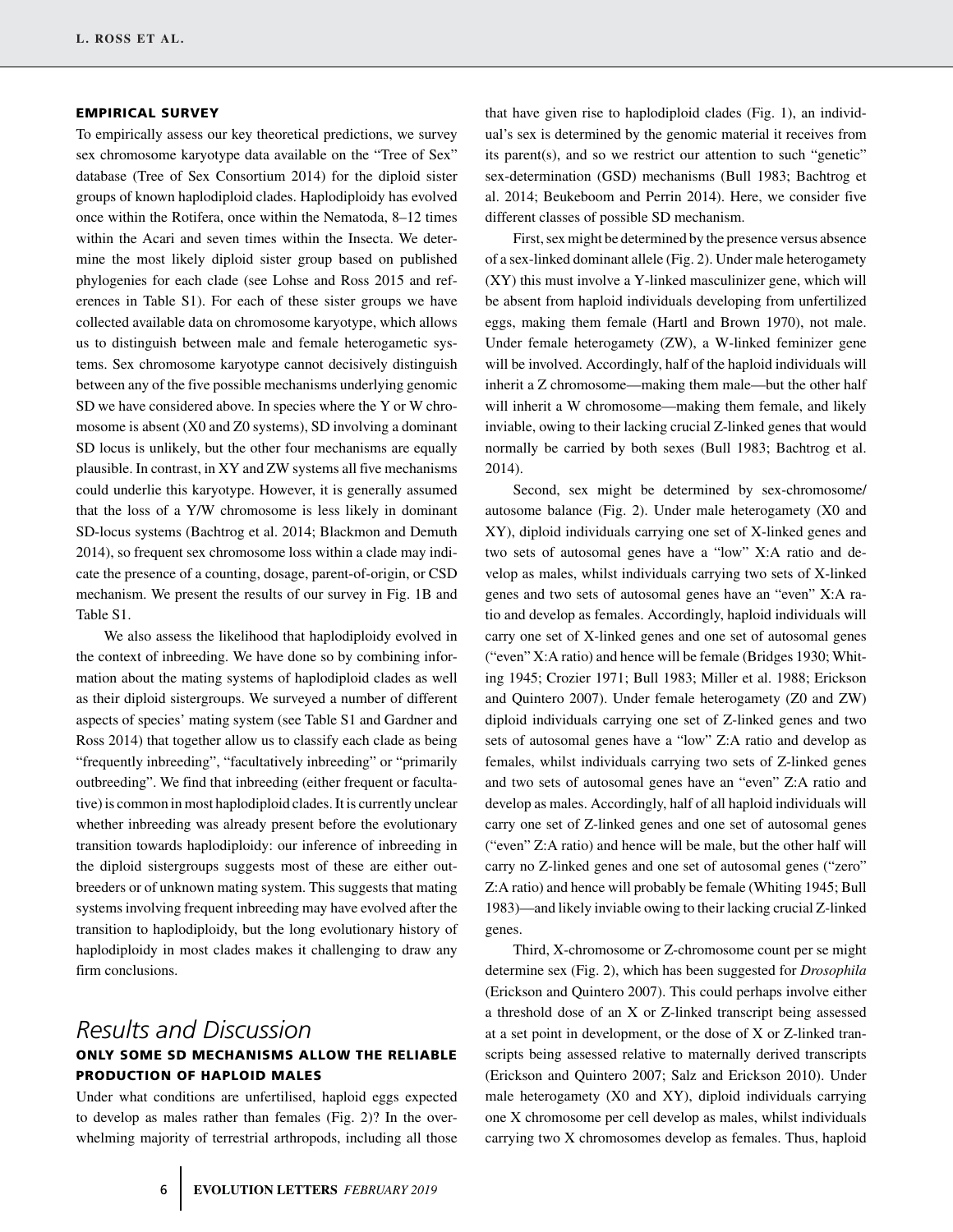#### **EMPIRICAL SURVEY**

To empirically assess our key theoretical predictions, we survey sex chromosome karyotype data available on the "Tree of Sex" database (Tree of Sex Consortium 2014) for the diploid sister groups of known haplodiploid clades. Haplodiploidy has evolved once within the Rotifera, once within the Nematoda, 8–12 times within the Acari and seven times within the Insecta. We determine the most likely diploid sister group based on published phylogenies for each clade (see Lohse and Ross 2015 and references in Table S1). For each of these sister groups we have collected available data on chromosome karyotype, which allows us to distinguish between male and female heterogametic systems. Sex chromosome karyotype cannot decisively distinguish between any of the five possible mechanisms underlying genomic SD we have considered above. In species where the Y or W chromosome is absent (X0 and Z0 systems), SD involving a dominant SD locus is unlikely, but the other four mechanisms are equally plausible. In contrast, in XY and ZW systems all five mechanisms could underlie this karyotype. However, it is generally assumed that the loss of a Y/W chromosome is less likely in dominant SD-locus systems (Bachtrog et al. 2014; Blackmon and Demuth 2014), so frequent sex chromosome loss within a clade may indicate the presence of a counting, dosage, parent-of-origin, or CSD mechanism. We present the results of our survey in Fig. 1B and Table S1.

We also assess the likelihood that haplodiploidy evolved in the context of inbreeding. We have done so by combining information about the mating systems of haplodiploid clades as well as their diploid sistergroups. We surveyed a number of different aspects of species' mating system (see Table S1 and Gardner and Ross 2014) that together allow us to classify each clade as being "frequently inbreeding", "facultatively inbreeding" or "primarily outbreeding". We find that inbreeding (either frequent or facultative) is common in most haplodiploid clades. It is currently unclear whether inbreeding was already present before the evolutionary transition towards haplodiploidy: our inference of inbreeding in the diploid sistergroups suggests most of these are either outbreeders or of unknown mating system. This suggests that mating systems involving frequent inbreeding may have evolved after the transition to haplodiploidy, but the long evolutionary history of haplodiploidy in most clades makes it challenging to draw any firm conclusions.

## *Results and Discussion* **ONLY SOME SD MECHANISMS ALLOW THE RELIABLE PRODUCTION OF HAPLOID MALES**

Under what conditions are unfertilised, haploid eggs expected to develop as males rather than females (Fig. 2)? In the overwhelming majority of terrestrial arthropods, including all those that have given rise to haplodiploid clades (Fig. 1), an individual's sex is determined by the genomic material it receives from its parent(s), and so we restrict our attention to such "genetic" sex-determination (GSD) mechanisms (Bull 1983; Bachtrog et al. 2014; Beukeboom and Perrin 2014). Here, we consider five different classes of possible SD mechanism.

First, sex might be determined by the presence versus absence of a sex-linked dominant allele (Fig. 2). Under male heterogamety (XY) this must involve a Y-linked masculinizer gene, which will be absent from haploid individuals developing from unfertilized eggs, making them female (Hartl and Brown 1970), not male. Under female heterogamety (ZW), a W-linked feminizer gene will be involved. Accordingly, half of the haploid individuals will inherit a Z chromosome—making them male—but the other half will inherit a W chromosome—making them female, and likely inviable, owing to their lacking crucial Z-linked genes that would normally be carried by both sexes (Bull 1983; Bachtrog et al. 2014).

Second, sex might be determined by sex-chromosome/ autosome balance (Fig. 2). Under male heterogamety (X0 and XY), diploid individuals carrying one set of X-linked genes and two sets of autosomal genes have a "low" X:A ratio and develop as males, whilst individuals carrying two sets of X-linked genes and two sets of autosomal genes have an "even" X:A ratio and develop as females. Accordingly, haploid individuals will carry one set of X-linked genes and one set of autosomal genes ("even" X:A ratio) and hence will be female (Bridges 1930; Whiting 1945; Crozier 1971; Bull 1983; Miller et al. 1988; Erickson and Quintero 2007). Under female heterogamety (Z0 and ZW) diploid individuals carrying one set of Z-linked genes and two sets of autosomal genes have a "low" Z:A ratio and develop as females, whilst individuals carrying two sets of Z-linked genes and two sets of autosomal genes have an "even" Z:A ratio and develop as males. Accordingly, half of all haploid individuals will carry one set of Z-linked genes and one set of autosomal genes ("even" Z:A ratio) and hence will be male, but the other half will carry no Z-linked genes and one set of autosomal genes ("zero" Z:A ratio) and hence will probably be female (Whiting 1945; Bull 1983)—and likely inviable owing to their lacking crucial Z-linked genes.

Third, X-chromosome or Z-chromosome count per se might determine sex (Fig. 2), which has been suggested for *Drosophila* (Erickson and Quintero 2007). This could perhaps involve either a threshold dose of an X or Z-linked transcript being assessed at a set point in development, or the dose of X or Z-linked transcripts being assessed relative to maternally derived transcripts (Erickson and Quintero 2007; Salz and Erickson 2010). Under male heterogamety (X0 and XY), diploid individuals carrying one X chromosome per cell develop as males, whilst individuals carrying two X chromosomes develop as females. Thus, haploid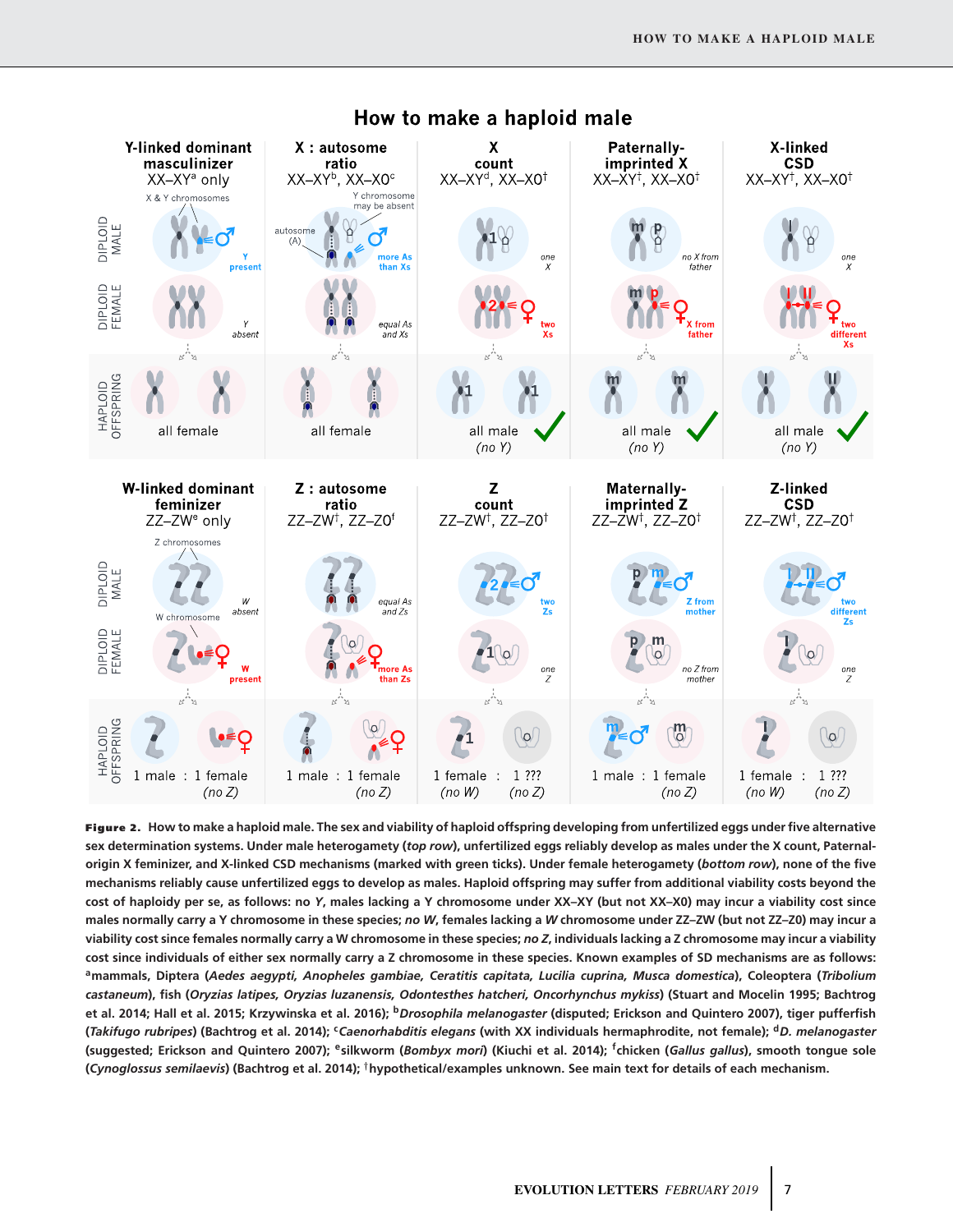

## How to make a haploid male

**Figure 2. How to make a haploid male. The sex and viability of haploid offspring developing from unfertilized eggs under five alternative sex determination systems. Under male heterogamety (***top row***), unfertilized eggs reliably develop as males under the X count, Paternalorigin X feminizer, and X-linked CSD mechanisms (marked with green ticks). Under female heterogamety (***bottom row***), none of the five mechanisms reliably cause unfertilized eggs to develop as males. Haploid offspring may suffer from additional viability costs beyond the cost of haploidy per se, as follows: no** *Y***, males lacking a Y chromosome under XX–XY (but not XX–X0) may incur a viability cost since males normally carry a Y chromosome in these species;** *no W***, females lacking a** *W* **chromosome under ZZ–ZW (but not ZZ–Z0) may incur a viability cost since females normally carry a W chromosome in these species;** *no Z***, individuals lacking a Z chromosome may incur a viability cost since individuals of either sex normally carry a Z chromosome in these species. Known examples of SD mechanisms are as follows: amammals, Diptera (***Aedes aegypti, Anopheles gambiae, Ceratitis capitata, Lucilia cuprina, Musca domestica***), Coleoptera (***Tribolium castaneum***), fish (***Oryzias latipes, Oryzias luzanensis, Odontesthes hatcheri, Oncorhynchus mykiss***) (Stuart and Mocelin 1995; Bachtrog et al. 2014; Hall et al. 2015; Krzywinska et al. 2016); <sup>b</sup>***Drosophila melanogaster* **(disputed; Erickson and Quintero 2007), tiger pufferfish (***Takifugo rubripes***) (Bachtrog et al. 2014); <sup>c</sup>***Caenorhabditis elegans* **(with XX individuals hermaphrodite, not female); <sup>d</sup>***D. melanogaster* **(suggested; Erickson and Quintero 2007); esilkworm (***Bombyx mori***) (Kiuchi et al. 2014); <sup>f</sup> chicken (***Gallus gallus***), smooth tongue sole (***Cynoglossus semilaevis***) (Bachtrog et al. 2014);** *†***hypothetical/examples unknown. See main text for details of each mechanism.**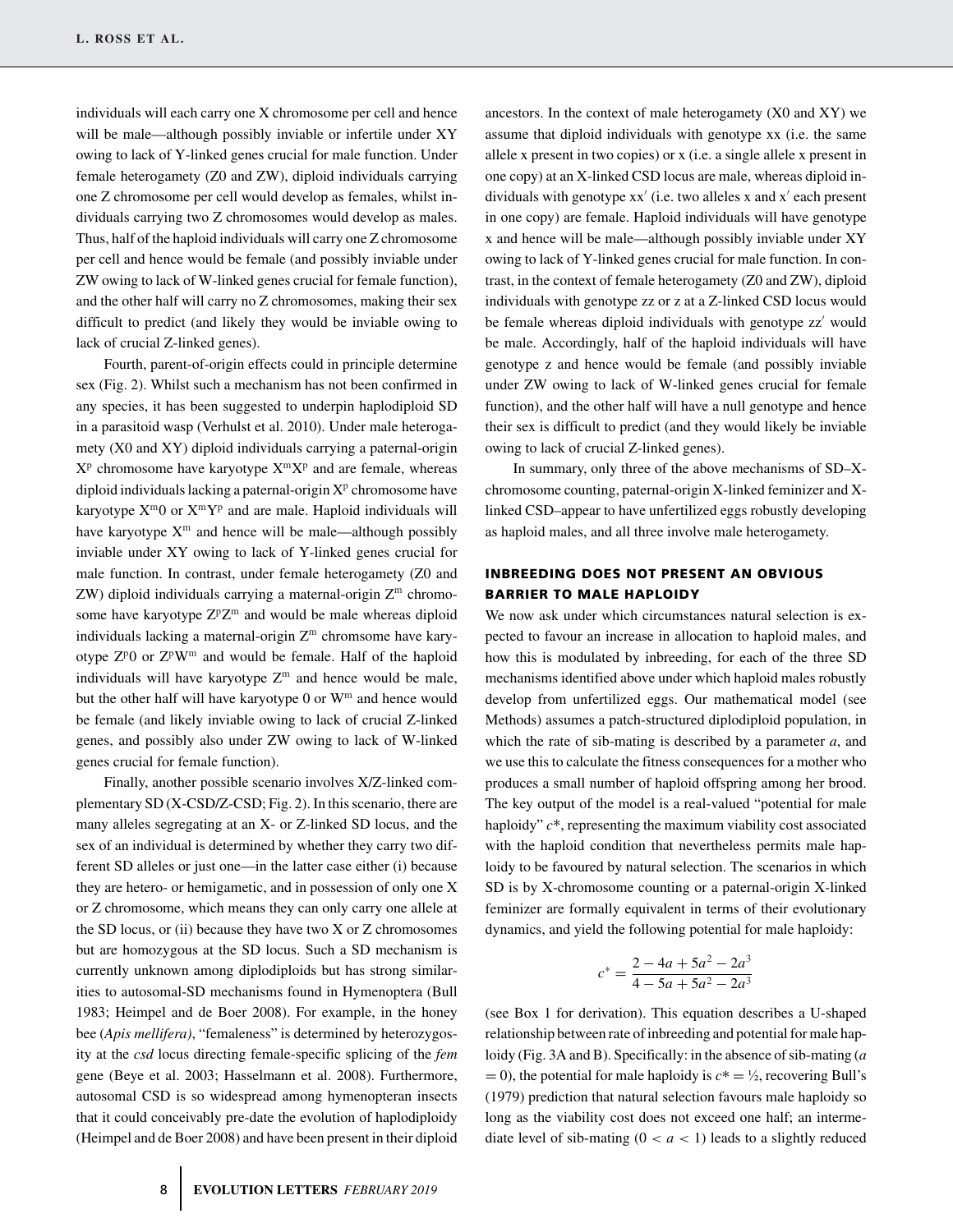individuals will each carry one X chromosome per cell and hence will be male—although possibly inviable or infertile under XY owing to lack of Y-linked genes crucial for male function. Under female heterogamety (Z0 and ZW), diploid individuals carrying one Z chromosome per cell would develop as females, whilst individuals carrying two Z chromosomes would develop as males. Thus, half of the haploid individuals will carry one Z chromosome per cell and hence would be female (and possibly inviable under ZW owing to lack of W-linked genes crucial for female function), and the other half will carry no Z chromosomes, making their sex difficult to predict (and likely they would be inviable owing to lack of crucial Z-linked genes).

Fourth, parent-of-origin effects could in principle determine sex (Fig. 2). Whilst such a mechanism has not been confirmed in any species, it has been suggested to underpin haplodiploid SD in a parasitoid wasp (Verhulst et al. 2010). Under male heterogamety (X0 and XY) diploid individuals carrying a paternal-origin  $X^p$  chromosome have karyotype  $X^m X^p$  and are female, whereas diploid individuals lacking a paternal-origin  $X^p$  chromosome have karyotype  $X^m0$  or  $X^mY^p$  and are male. Haploid individuals will have karyotype  $X^m$  and hence will be male—although possibly inviable under XY owing to lack of Y-linked genes crucial for male function. In contrast, under female heterogamety (Z0 and  $ZW$ ) diploid individuals carrying a maternal-origin  $Z<sup>m</sup>$  chromosome have karyotype  $Z^pZ^m$  and would be male whereas diploid individuals lacking a maternal-origin  $Z<sup>m</sup>$  chromsome have karyotype  $Z^{p}0$  or  $Z^{p}W^{m}$  and would be female. Half of the haploid individuals will have karyotype  $Z^m$  and hence would be male, but the other half will have karyotype 0 or W<sup>m</sup> and hence would be female (and likely inviable owing to lack of crucial Z-linked genes, and possibly also under ZW owing to lack of W-linked genes crucial for female function).

Finally, another possible scenario involves X/Z-linked complementary SD (X-CSD/Z-CSD; Fig. 2). In this scenario, there are many alleles segregating at an X- or Z-linked SD locus, and the sex of an individual is determined by whether they carry two different SD alleles or just one—in the latter case either (i) because they are hetero- or hemigametic, and in possession of only one X or Z chromosome, which means they can only carry one allele at the SD locus, or  $(ii)$  because they have two X or Z chromosomes but are homozygous at the SD locus. Such a SD mechanism is currently unknown among diplodiploids but has strong similarities to autosomal-SD mechanisms found in Hymenoptera (Bull 1983; Heimpel and de Boer 2008). For example, in the honey bee (*Apis mellifera)*, "femaleness" is determined by heterozygosity at the *csd* locus directing female-specific splicing of the *fem* gene (Beye et al. 2003; Hasselmann et al. 2008). Furthermore, autosomal CSD is so widespread among hymenopteran insects that it could conceivably pre-date the evolution of haplodiploidy (Heimpel and de Boer 2008) and have been present in their diploid

ancestors. In the context of male heterogamety (X0 and XY) we assume that diploid individuals with genotype xx (i.e. the same allele x present in two copies) or x (i.e. a single allele x present in one copy) at an X-linked CSD locus are male, whereas diploid individuals with genotype  $xx'$  (i.e. two alleles x and  $x'$  each present in one copy) are female. Haploid individuals will have genotype x and hence will be male—although possibly inviable under XY owing to lack of Y-linked genes crucial for male function. In contrast, in the context of female heterogamety (Z0 and ZW), diploid individuals with genotype zz or z at a Z-linked CSD locus would be female whereas diploid individuals with genotype zz' would be male. Accordingly, half of the haploid individuals will have genotype z and hence would be female (and possibly inviable under ZW owing to lack of W-linked genes crucial for female function), and the other half will have a null genotype and hence their sex is difficult to predict (and they would likely be inviable owing to lack of crucial Z-linked genes).

In summary, only three of the above mechanisms of SD–Xchromosome counting, paternal-origin X-linked feminizer and Xlinked CSD–appear to have unfertilized eggs robustly developing as haploid males, and all three involve male heterogamety.

## **INBREEDING DOES NOT PRESENT AN OBVIOUS BARRIER TO MALE HAPLOIDY**

We now ask under which circumstances natural selection is expected to favour an increase in allocation to haploid males, and how this is modulated by inbreeding, for each of the three SD mechanisms identified above under which haploid males robustly develop from unfertilized eggs. Our mathematical model (see Methods) assumes a patch-structured diplodiploid population, in which the rate of sib-mating is described by a parameter *a*, and we use this to calculate the fitness consequences for a mother who produces a small number of haploid offspring among her brood. The key output of the model is a real-valued "potential for male haploidy" *c*∗, representing the maximum viability cost associated with the haploid condition that nevertheless permits male haploidy to be favoured by natural selection. The scenarios in which SD is by X-chromosome counting or a paternal-origin X-linked feminizer are formally equivalent in terms of their evolutionary dynamics, and yield the following potential for male haploidy:

$$
c^* = \frac{2 - 4a + 5a^2 - 2a^3}{4 - 5a + 5a^2 - 2a^3}
$$

(see Box 1 for derivation). This equation describes a U-shaped relationship between rate of inbreeding and potential for male haploidy (Fig. 3A and B). Specifically: in the absence of sib-mating (*a*  $= 0$ ), the potential for male haploidy is  $c^* = \frac{1}{2}$ , recovering Bull's (1979) prediction that natural selection favours male haploidy so long as the viability cost does not exceed one half; an intermediate level of sib-mating  $(0 < a < 1)$  leads to a slightly reduced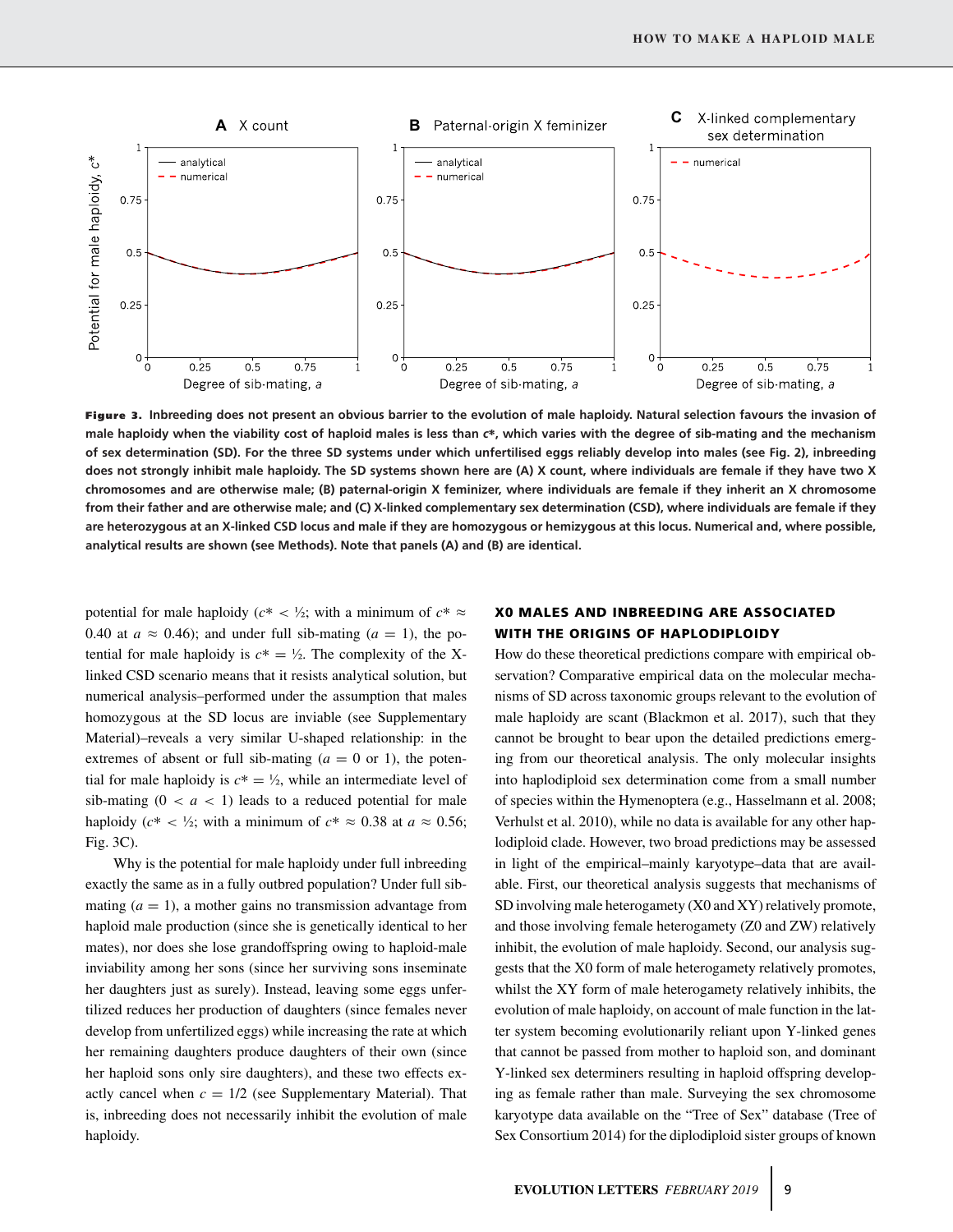

**Figure 3. Inbreeding does not present an obvious barrier to the evolution of male haploidy. Natural selection favours the invasion of male haploidy when the viability cost of haploid males is less than** *c***∗, which varies with the degree of sib-mating and the mechanism of sex determination (SD). For the three SD systems under which unfertilised eggs reliably develop into males (see Fig. 2), inbreeding does not strongly inhibit male haploidy. The SD systems shown here are (A) X count, where individuals are female if they have two X chromosomes and are otherwise male; (B) paternal-origin X feminizer, where individuals are female if they inherit an X chromosome from their father and are otherwise male; and (C) X-linked complementary sex determination (CSD), where individuals are female if they are heterozygous at an X-linked CSD locus and male if they are homozygous or hemizygous at this locus. Numerical and, where possible, analytical results are shown (see Methods). Note that panels (A) and (B) are identical.**

potential for male haploidy ( $c^*$  < ½; with a minimum of  $c^*$  ≈ 0.40 at  $a \approx 0.46$ ; and under full sib-mating  $(a = 1)$ , the potential for male haploidy is  $c^* = \frac{1}{2}$ . The complexity of the Xlinked CSD scenario means that it resists analytical solution, but numerical analysis–performed under the assumption that males homozygous at the SD locus are inviable (see Supplementary Material)–reveals a very similar U-shaped relationship: in the extremes of absent or full sib-mating  $(a = 0 \text{ or } 1)$ , the potential for male haploidy is  $c^* = \frac{1}{2}$ , while an intermediate level of sib-mating  $(0 < a < 1)$  leads to a reduced potential for male haploidy ( $c^*$  < ½; with a minimum of  $c^* \approx 0.38$  at  $a \approx 0.56$ ; Fig. 3C).

Why is the potential for male haploidy under full inbreeding exactly the same as in a fully outbred population? Under full sibmating  $(a = 1)$ , a mother gains no transmission advantage from haploid male production (since she is genetically identical to her mates), nor does she lose grandoffspring owing to haploid-male inviability among her sons (since her surviving sons inseminate her daughters just as surely). Instead, leaving some eggs unfertilized reduces her production of daughters (since females never develop from unfertilized eggs) while increasing the rate at which her remaining daughters produce daughters of their own (since her haploid sons only sire daughters), and these two effects exactly cancel when  $c = 1/2$  (see Supplementary Material). That is, inbreeding does not necessarily inhibit the evolution of male haploidy.

## **X0 MALES AND INBREEDING ARE ASSOCIATED WITH THE ORIGINS OF HAPLODIPLOIDY**

How do these theoretical predictions compare with empirical observation? Comparative empirical data on the molecular mechanisms of SD across taxonomic groups relevant to the evolution of male haploidy are scant (Blackmon et al. 2017), such that they cannot be brought to bear upon the detailed predictions emerging from our theoretical analysis. The only molecular insights into haplodiploid sex determination come from a small number of species within the Hymenoptera (e.g., Hasselmann et al. 2008; Verhulst et al. 2010), while no data is available for any other haplodiploid clade. However, two broad predictions may be assessed in light of the empirical–mainly karyotype–data that are available. First, our theoretical analysis suggests that mechanisms of SD involving male heterogamety (X0 and XY) relatively promote, and those involving female heterogamety (Z0 and ZW) relatively inhibit, the evolution of male haploidy. Second, our analysis suggests that the X0 form of male heterogamety relatively promotes, whilst the XY form of male heterogamety relatively inhibits, the evolution of male haploidy, on account of male function in the latter system becoming evolutionarily reliant upon Y-linked genes that cannot be passed from mother to haploid son, and dominant Y-linked sex determiners resulting in haploid offspring developing as female rather than male. Surveying the sex chromosome karyotype data available on the "Tree of Sex" database (Tree of Sex Consortium 2014) for the diplodiploid sister groups of known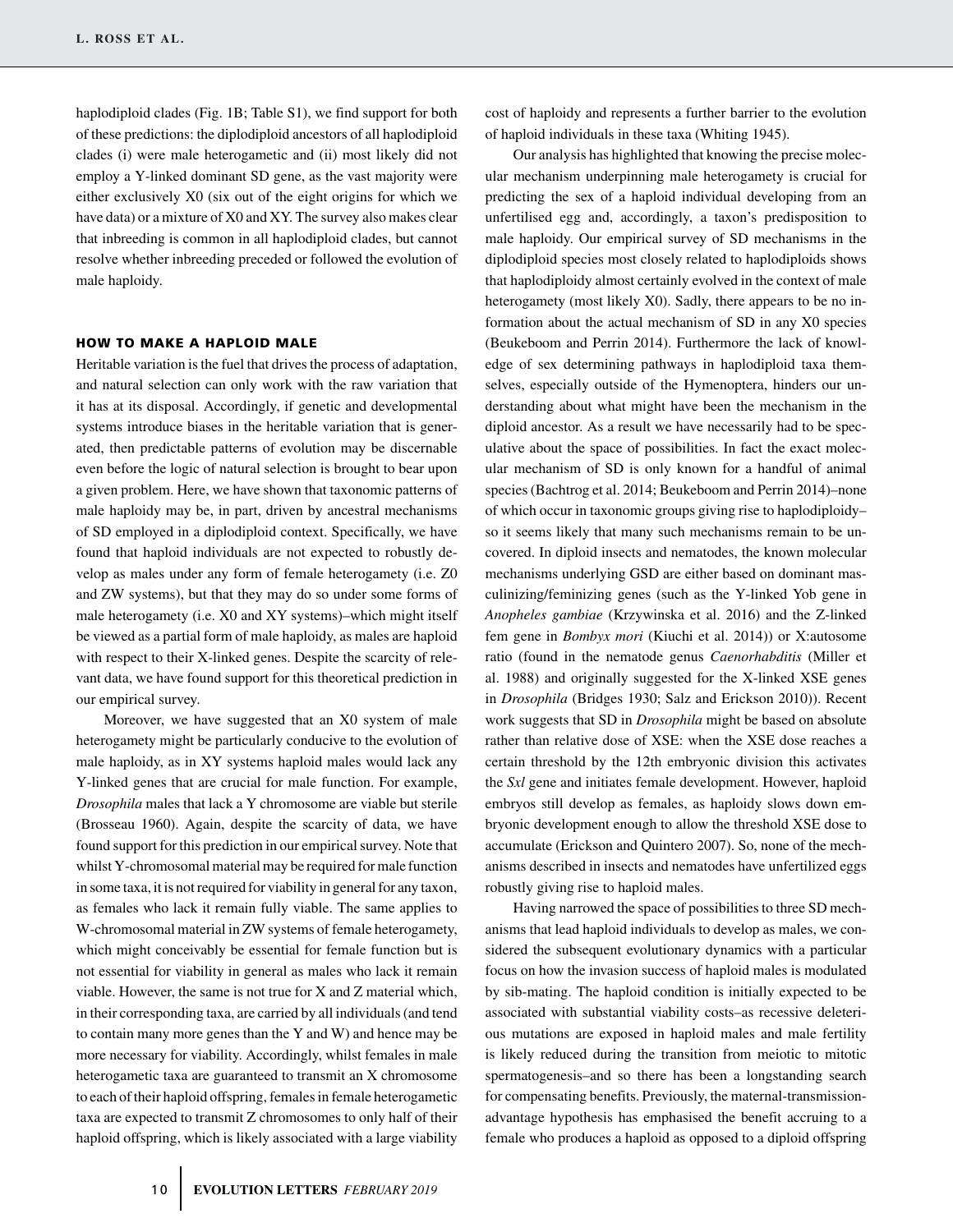haplodiploid clades (Fig. 1B; Table S1), we find support for both of these predictions: the diplodiploid ancestors of all haplodiploid clades (i) were male heterogametic and (ii) most likely did not employ a Y-linked dominant SD gene, as the vast majority were either exclusively X0 (six out of the eight origins for which we have data) or a mixture of X0 and XY. The survey also makes clear that inbreeding is common in all haplodiploid clades, but cannot resolve whether inbreeding preceded or followed the evolution of male haploidy.

## **HOW TO MAKE A HAPLOID MALE**

Heritable variation is the fuel that drives the process of adaptation, and natural selection can only work with the raw variation that it has at its disposal. Accordingly, if genetic and developmental systems introduce biases in the heritable variation that is generated, then predictable patterns of evolution may be discernable even before the logic of natural selection is brought to bear upon a given problem. Here, we have shown that taxonomic patterns of male haploidy may be, in part, driven by ancestral mechanisms of SD employed in a diplodiploid context. Specifically, we have found that haploid individuals are not expected to robustly develop as males under any form of female heterogamety (i.e. Z0 and ZW systems), but that they may do so under some forms of male heterogamety (i.e. X0 and XY systems)–which might itself be viewed as a partial form of male haploidy, as males are haploid with respect to their X-linked genes. Despite the scarcity of relevant data, we have found support for this theoretical prediction in our empirical survey.

Moreover, we have suggested that an X0 system of male heterogamety might be particularly conducive to the evolution of male haploidy, as in XY systems haploid males would lack any Y-linked genes that are crucial for male function. For example, *Drosophila* males that lack a Y chromosome are viable but sterile (Brosseau 1960). Again, despite the scarcity of data, we have found support for this prediction in our empirical survey. Note that whilst Y-chromosomal material may be required for male function in some taxa, it is not required for viability in general for any taxon, as females who lack it remain fully viable. The same applies to W-chromosomal material in ZW systems of female heterogamety, which might conceivably be essential for female function but is not essential for viability in general as males who lack it remain viable. However, the same is not true for X and Z material which, in their corresponding taxa, are carried by all individuals (and tend to contain many more genes than the Y and W) and hence may be more necessary for viability. Accordingly, whilst females in male heterogametic taxa are guaranteed to transmit an X chromosome to each of their haploid offspring, females in female heterogametic taxa are expected to transmit Z chromosomes to only half of their haploid offspring, which is likely associated with a large viability

cost of haploidy and represents a further barrier to the evolution of haploid individuals in these taxa (Whiting 1945).

Our analysis has highlighted that knowing the precise molecular mechanism underpinning male heterogamety is crucial for predicting the sex of a haploid individual developing from an unfertilised egg and, accordingly, a taxon's predisposition to male haploidy. Our empirical survey of SD mechanisms in the diplodiploid species most closely related to haplodiploids shows that haplodiploidy almost certainly evolved in the context of male heterogamety (most likely X0). Sadly, there appears to be no information about the actual mechanism of SD in any X0 species (Beukeboom and Perrin 2014). Furthermore the lack of knowledge of sex determining pathways in haplodiploid taxa themselves, especially outside of the Hymenoptera, hinders our understanding about what might have been the mechanism in the diploid ancestor. As a result we have necessarily had to be speculative about the space of possibilities. In fact the exact molecular mechanism of SD is only known for a handful of animal species (Bachtrog et al. 2014; Beukeboom and Perrin 2014)–none of which occur in taxonomic groups giving rise to haplodiploidy– so it seems likely that many such mechanisms remain to be uncovered. In diploid insects and nematodes, the known molecular mechanisms underlying GSD are either based on dominant masculinizing/feminizing genes (such as the Y-linked Yob gene in *Anopheles gambiae* (Krzywinska et al. 2016) and the Z-linked fem gene in *Bombyx mori* (Kiuchi et al. 2014)) or X:autosome ratio (found in the nematode genus *Caenorhabditis* (Miller et al. 1988) and originally suggested for the X-linked XSE genes in *Drosophila* (Bridges 1930; Salz and Erickson 2010)). Recent work suggests that SD in *Drosophila* might be based on absolute rather than relative dose of XSE: when the XSE dose reaches a certain threshold by the 12th embryonic division this activates the *Sxl* gene and initiates female development. However, haploid embryos still develop as females, as haploidy slows down embryonic development enough to allow the threshold XSE dose to accumulate (Erickson and Quintero 2007). So, none of the mechanisms described in insects and nematodes have unfertilized eggs robustly giving rise to haploid males.

Having narrowed the space of possibilities to three SD mechanisms that lead haploid individuals to develop as males, we considered the subsequent evolutionary dynamics with a particular focus on how the invasion success of haploid males is modulated by sib-mating. The haploid condition is initially expected to be associated with substantial viability costs–as recessive deleterious mutations are exposed in haploid males and male fertility is likely reduced during the transition from meiotic to mitotic spermatogenesis–and so there has been a longstanding search for compensating benefits. Previously, the maternal-transmissionadvantage hypothesis has emphasised the benefit accruing to a female who produces a haploid as opposed to a diploid offspring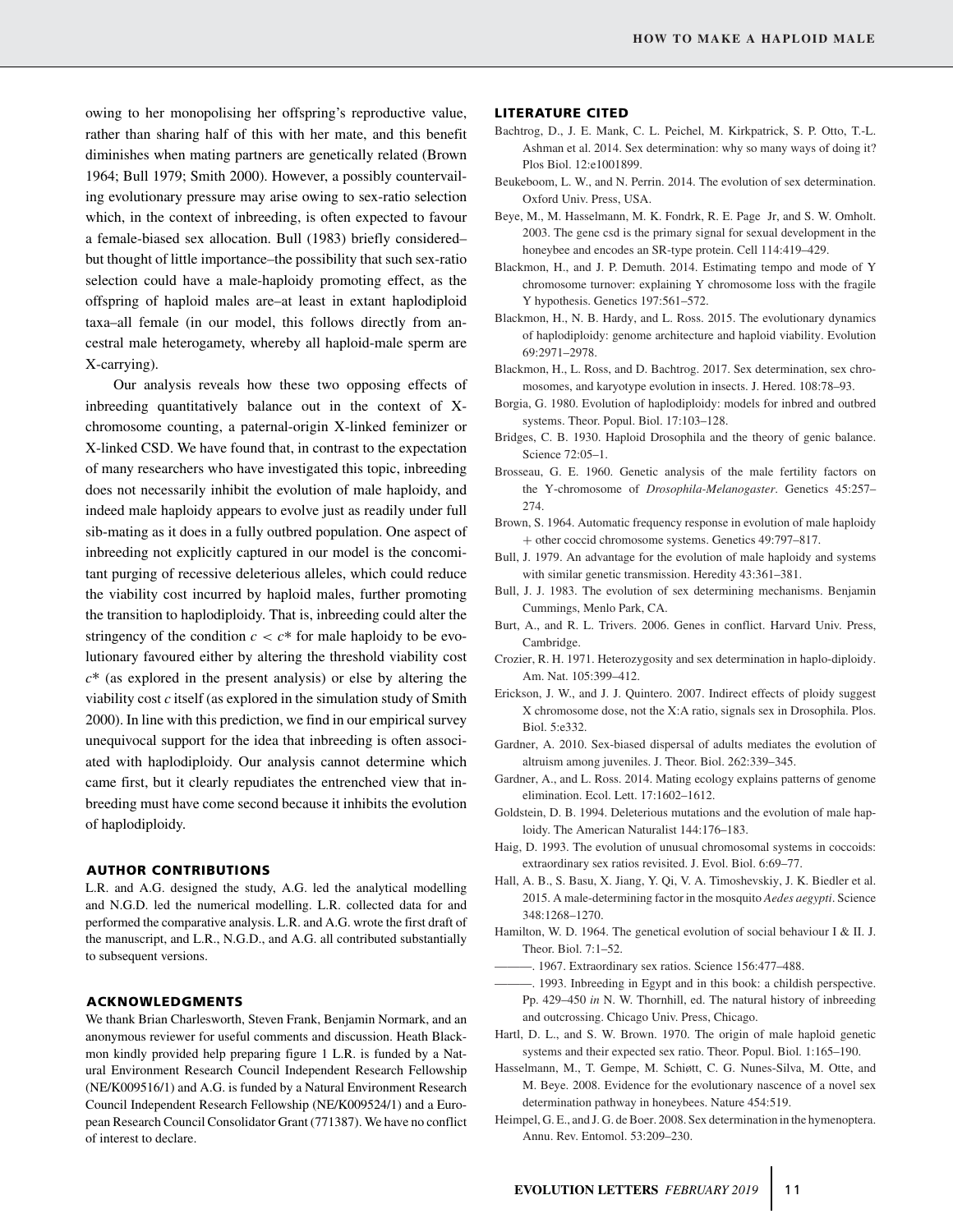owing to her monopolising her offspring's reproductive value, rather than sharing half of this with her mate, and this benefit diminishes when mating partners are genetically related (Brown 1964; Bull 1979; Smith 2000). However, a possibly countervailing evolutionary pressure may arise owing to sex-ratio selection which, in the context of inbreeding, is often expected to favour a female-biased sex allocation. Bull (1983) briefly considered– but thought of little importance–the possibility that such sex-ratio selection could have a male-haploidy promoting effect, as the offspring of haploid males are–at least in extant haplodiploid taxa–all female (in our model, this follows directly from ancestral male heterogamety, whereby all haploid-male sperm are X-carrying).

Our analysis reveals how these two opposing effects of inbreeding quantitatively balance out in the context of Xchromosome counting, a paternal-origin X-linked feminizer or X-linked CSD. We have found that, in contrast to the expectation of many researchers who have investigated this topic, inbreeding does not necessarily inhibit the evolution of male haploidy, and indeed male haploidy appears to evolve just as readily under full sib-mating as it does in a fully outbred population. One aspect of inbreeding not explicitly captured in our model is the concomitant purging of recessive deleterious alleles, which could reduce the viability cost incurred by haploid males, further promoting the transition to haplodiploidy. That is, inbreeding could alter the stringency of the condition  $c < c^*$  for male haploidy to be evolutionary favoured either by altering the threshold viability cost *c*∗ (as explored in the present analysis) or else by altering the viability cost *c* itself (as explored in the simulation study of Smith 2000). In line with this prediction, we find in our empirical survey unequivocal support for the idea that inbreeding is often associated with haplodiploidy. Our analysis cannot determine which came first, but it clearly repudiates the entrenched view that inbreeding must have come second because it inhibits the evolution of haplodiploidy.

#### **AUTHOR CONTRIBUTIONS**

L.R. and A.G. designed the study, A.G. led the analytical modelling and N.G.D. led the numerical modelling. L.R. collected data for and performed the comparative analysis. L.R. and A.G. wrote the first draft of the manuscript, and L.R., N.G.D., and A.G. all contributed substantially to subsequent versions.

#### **ACKNOWLEDGMENTS**

We thank Brian Charlesworth, Steven Frank, Benjamin Normark, and an anonymous reviewer for useful comments and discussion. Heath Blackmon kindly provided help preparing figure 1 L.R. is funded by a Natural Environment Research Council Independent Research Fellowship (NE/K009516/1) and A.G. is funded by a Natural Environment Research Council Independent Research Fellowship (NE/K009524/1) and a European Research Council Consolidator Grant (771387). We have no conflict of interest to declare.

#### **LITERATURE CITED**

- Bachtrog, D., J. E. Mank, C. L. Peichel, M. Kirkpatrick, S. P. Otto, T.-L. Ashman et al. 2014. Sex determination: why so many ways of doing it? Plos Biol. 12:e1001899.
- Beukeboom, L. W., and N. Perrin. 2014. The evolution of sex determination. Oxford Univ. Press, USA.
- Beye, M., M. Hasselmann, M. K. Fondrk, R. E. Page Jr, and S. W. Omholt. 2003. The gene csd is the primary signal for sexual development in the honeybee and encodes an SR-type protein. Cell 114:419–429.
- Blackmon, H., and J. P. Demuth. 2014. Estimating tempo and mode of Y chromosome turnover: explaining Y chromosome loss with the fragile Y hypothesis. Genetics 197:561–572.
- Blackmon, H., N. B. Hardy, and L. Ross. 2015. The evolutionary dynamics of haplodiploidy: genome architecture and haploid viability. Evolution 69:2971–2978.
- Blackmon, H., L. Ross, and D. Bachtrog. 2017. Sex determination, sex chromosomes, and karyotype evolution in insects. J. Hered. 108:78–93.
- Borgia, G. 1980. Evolution of haplodiploidy: models for inbred and outbred systems. Theor. Popul. Biol. 17:103–128.
- Bridges, C. B. 1930. Haploid Drosophila and the theory of genic balance. Science 72:05–1.
- Brosseau, G. E. 1960. Genetic analysis of the male fertility factors on the Y-chromosome of *Drosophila-Melanogaster*. Genetics 45:257– 274.
- Brown, S. 1964. Automatic frequency response in evolution of male haploidy + other coccid chromosome systems. Genetics 49:797–817.
- Bull, J. 1979. An advantage for the evolution of male haploidy and systems with similar genetic transmission. Heredity 43:361–381.
- Bull, J. J. 1983. The evolution of sex determining mechanisms. Benjamin Cummings, Menlo Park, CA.
- Burt, A., and R. L. Trivers. 2006. Genes in conflict. Harvard Univ. Press, Cambridge.
- Crozier, R. H. 1971. Heterozygosity and sex determination in haplo-diploidy. Am. Nat. 105:399–412.
- Erickson, J. W., and J. J. Quintero. 2007. Indirect effects of ploidy suggest X chromosome dose, not the X:A ratio, signals sex in Drosophila. Plos. Biol. 5:e332.
- Gardner, A. 2010. Sex-biased dispersal of adults mediates the evolution of altruism among juveniles. J. Theor. Biol. 262:339–345.
- Gardner, A., and L. Ross. 2014. Mating ecology explains patterns of genome elimination. Ecol. Lett. 17:1602–1612.
- Goldstein, D. B. 1994. Deleterious mutations and the evolution of male haploidy. The American Naturalist 144:176–183.
- Haig, D. 1993. The evolution of unusual chromosomal systems in coccoids: extraordinary sex ratios revisited. J. Evol. Biol. 6:69–77.
- Hall, A. B., S. Basu, X. Jiang, Y. Qi, V. A. Timoshevskiy, J. K. Biedler et al. 2015. A male-determining factor in the mosquito *Aedes aegypti*. Science 348:1268–1270.
- Hamilton, W. D. 1964. The genetical evolution of social behaviour I & II. J. Theor. Biol. 7:1–52.
- ———. 1967. Extraordinary sex ratios. Science 156:477–488.
- ———. 1993. Inbreeding in Egypt and in this book: a childish perspective. Pp. 429–450 *in* N. W. Thornhill, ed. The natural history of inbreeding and outcrossing. Chicago Univ. Press, Chicago.
- Hartl, D. L., and S. W. Brown. 1970. The origin of male haploid genetic systems and their expected sex ratio. Theor. Popul. Biol. 1:165–190.
- Hasselmann, M., T. Gempe, M. Schiøtt, C. G. Nunes-Silva, M. Otte, and M. Beye. 2008. Evidence for the evolutionary nascence of a novel sex determination pathway in honeybees. Nature 454:519.
- Heimpel, G. E., and J. G. de Boer. 2008. Sex determination in the hymenoptera. Annu. Rev. Entomol. 53:209–230.